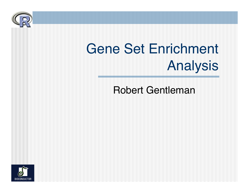

# Gene Set Enrichment Analysis

#### Robert Gentleman

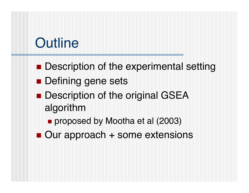# **Outline**

- **Description of the experimental setting**
- **Defining gene sets**
- **Description of the original GSEA** algorithm

**proposed by Mootha et al (2003)** 

■ Our approach + some extensions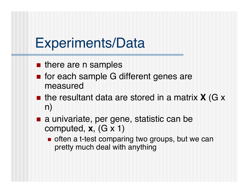### Experiments/Data

- **n** there are n samples
- **for each sample G different genes are** measured
- the resultant data are stored in a matrix **X** (G x n)
- a univariate, per gene, statistic can be computed, **x**, (G x 1)
	- **often a t-test comparing two groups, but we can** pretty much deal with anything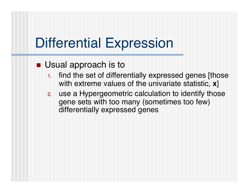# Differential Expression

- **Usual approach is to** 
	- 1. find the set of differentially expressed genes [those with extreme values of the univariate statistic, **x**]
	- 2. use a Hypergeometric calculation to identify those gene sets with too many (sometimes too few) differentially expressed genes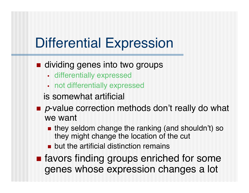# Differential Expression

- dividing genes into two groups
	- differentially expressed
	- not differentially expressed

is somewhat artificial

- p-value correction methods don't really do what we want
	- they seldom change the ranking (and shouldn't) so they might change the location of the cut
	- **p** but the artificial distinction remains

**Example 1** favors finding groups enriched for some genes whose expression changes a lot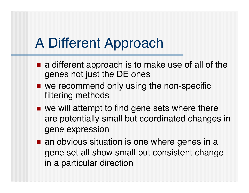# A Different Approach

- a different approach is to make use of all of the genes not just the DE ones
- we recommend only using the non-specific filtering methods
- we will attempt to find gene sets where there are potentially small but coordinated changes in gene expression
- an obvious situation is one where genes in a gene set all show small but consistent change in a particular direction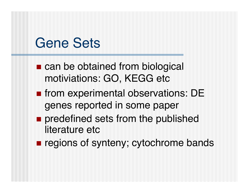- **Example obtained from biological** motiviations: GO, KEGG etc
- **from experimental observations: DE** genes reported in some paper
- **predefined sets from the published** literature etc
- **regions of synteny; cytochrome bands**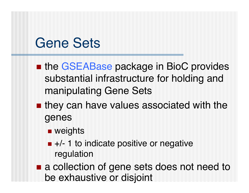- the GSEABase package in BioC provides substantial infrastructure for holding and manipulating Gene Sets
- **If** they can have values associated with the genes
	- **n** weights
	- $+/- 1$  to indicate positive or negative regulation
- a collection of gene sets does not need to be exhaustive or disjoint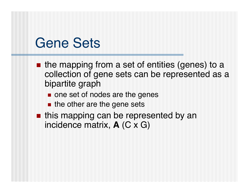- $\blacksquare$  the mapping from a set of entities (genes) to a collection of gene sets can be represented as a bipartite graph
	- one set of nodes are the genes
	- **n** the other are the gene sets
- **If this mapping can be represented by an** incidence matrix, **A** (C x G)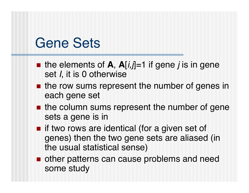- **If** the elements of **A**,  $\mathbf{A}[i,j]=1$  if gene *j* is in gene set *I*, it is 0 otherwise
- **If the row sums represent the number of genes in** each gene set
- **the column sums represent the number of gene** sets a gene is in
- $\blacksquare$  if two rows are identical (for a given set of genes) then the two gene sets are aliased (in the usual statistical sense)
- **n** other patterns can cause problems and need some study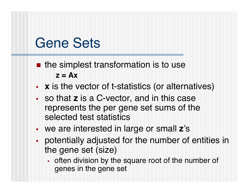- $\blacksquare$  the simplest transformation is to use  $z = Ax$
- **x** is the vector of t-statistics (or alternatives)
- so that **z** is a C-vector, and in this case represents the per gene set sums of the selected test statistics
- we are interested in large or small **z**'s
- potentially adjusted for the number of entities in the gene set (size)
	- often division by the square root of the number of genes in the gene set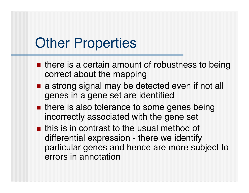### **Other Properties**

- $\blacksquare$  there is a certain amount of robustness to being correct about the mapping
- a strong signal may be detected even if not all genes in a gene set are identified
- **n** there is also tolerance to some genes being incorrectly associated with the gene set
- **n** this is in contrast to the usual method of differential expression - there we identify particular genes and hence are more subject to errors in annotation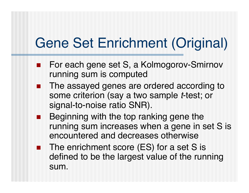# Gene Set Enrichment (Original)

- For each gene set S, a Kolmogorov-Smirnov running sum is computed
- The assayed genes are ordered according to some criterion (say a two sample *t*-test; or signal-to-noise ratio SNR).
- Beginning with the top ranking gene the running sum increases when a gene in set S is encountered and decreases otherwise
- The enrichment score (ES) for a set S is defined to be the largest value of the running sum.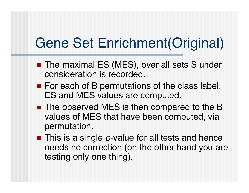# Gene Set Enrichment(Original)

- The maximal ES (MES), over all sets S under consideration is recorded.
- For each of B permutations of the class label, ES and MES values are computed.
- The observed MES is then compared to the B values of MES that have been computed, via permutation.
- This is a single p-value for all tests and hence needs no correction (on the other hand you are testing only one thing).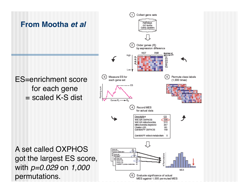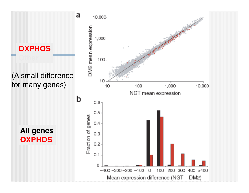

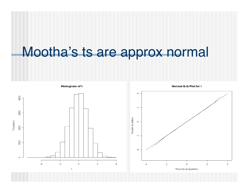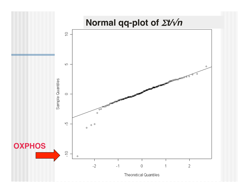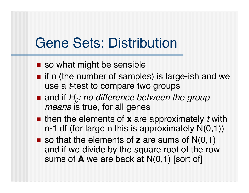### Gene Sets: Distribution

- so what might be sensible
- $\blacksquare$  if n (the number of samples) is large-ish and we use a *t*-test to compare two groups
- and if *H<sub>0</sub>: no difference between the group means* is true, for all genes
- then the elements of **x** are approximately *t* with n-1 df (for large n this is approximately N(0,1))
- so that the elements of **z** are sums of N(0,1) and if we divide by the square root of the row sums of **A** we are back at N(0,1) [sort of]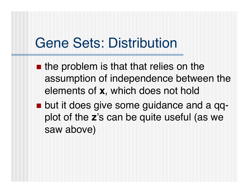### Gene Sets: Distribution

- **the problem is that that relies on the** assumption of independence between the elements of **x**, which does not hold
- **Dut it does give some guidance and a qq**plot of the **z**'s can be quite useful (as we saw above)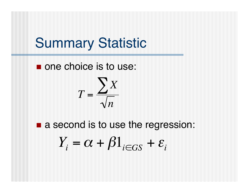# Summary Statistic

■ one choice is to use:

$$
T = \frac{\sum X}{\sqrt{n}}
$$

■ a second is to use the regression:  $Y_i = \alpha + \beta 1_{i \in GS} + \varepsilon_i$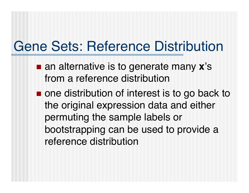### Gene Sets: Reference Distribution

- an alternative is to generate many **x**'s from a reference distribution
- **none distribution of interest is to go back to** the original expression data and either permuting the sample labels or bootstrapping can be used to provide a reference distribution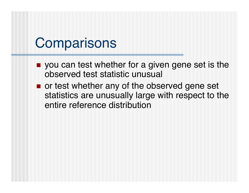# **Comparisons**

- **vou can test whether for a given gene set is the** observed test statistic unusual
- or test whether any of the observed gene set statistics are unusually large with respect to the entire reference distribution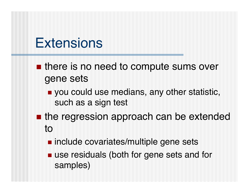#### **Extensions**

- **In there is no need to compute sums over** gene sets
	- **v** you could use medians, any other statistic, such as a sign test
- **If** the regression approach can be extended to
	- include covariates/multiple gene sets
	- use residuals (both for gene sets and for samples)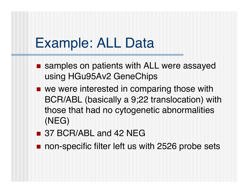### Example: ALL Data

- samples on patients with ALL were assayed using HGu95Av2 GeneChips
- we were interested in comparing those with BCR/ABL (basically a 9;22 translocation) with those that had no cytogenetic abnormalities (NEG)
- 37 BCR/ABL and 42 NEG
- non-specific filter left us with 2526 probe sets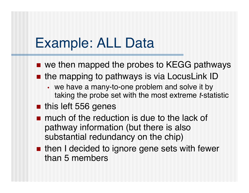## Example: ALL Data

- we then mapped the probes to KEGG pathways
- the mapping to pathways is via LocusLink ID
	- we have a many-to-one problem and solve it by taking the probe set with the most extreme *t*-statistic
- **n** this left 556 genes
- **n** much of the reduction is due to the lack of pathway information (but there is also substantial redundancy on the chip)
- **n** then I decided to ignore gene sets with fewer than 5 members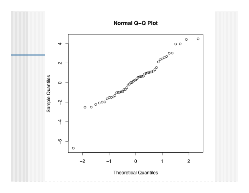

Normal Q-Q Plot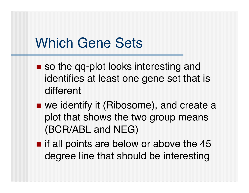### Which Gene Sets

- so the qq-plot looks interesting and identifies at least one gene set that is different
- we identify it (Ribosome), and create a plot that shows the two group means (BCR/ABL and NEG)
- $\blacksquare$  if all points are below or above the 45 degree line that should be interesting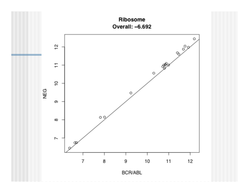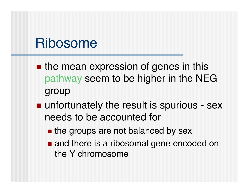### Ribosome

- **the mean expression of genes in this** pathway seem to be higher in the NEG group
- unfortunately the result is spurious sex needs to be accounted for
	- $\blacksquare$  the groups are not balanced by sex
	- and there is a ribosomal gene encoded on the Y chromosome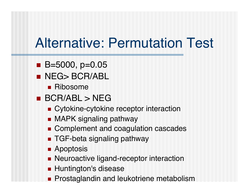# Alternative: Permutation Test

- B=5000, p=0.05
- NEG>BCR/ABL
	- **Ribosome**
- $\blacksquare$  BCR/ABL  $>$  NEG
	- Cytokine-cytokine receptor interaction
	- **MAPK** signaling pathway
	- Complement and coagulation cascades
	- TGF-beta signaling pathway
	- **Apoptosis**
	- **Neuroactive ligand-receptor interaction**
	- **Huntington's disease**
	- **Prostaglandin and leukotriene metabolism**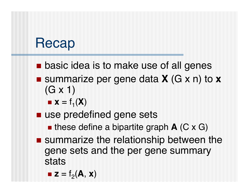# Recap

- **Deal is to make use of all genes**
- summarize per gene data **X** (G x n) to **x** (G x 1)

 $\blacksquare$  **x** = f<sub>1</sub>(**X**)

■ use predefined gene sets

■ these define a bipartite graph **A** (C x G)

■ summarize the relationship between the gene sets and the per gene summary stats

 $= z = f_2(A, x)$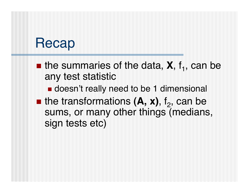# Recap

- $\blacksquare$  the summaries of the data, **X**,  $f_1$ , can be any test statistic
	- **doesn't really need to be 1 dimensional**
- **the transformations**  $(A, x)$ **,**  $f_2$ **, can be** sums, or many other things (medians, sign tests etc)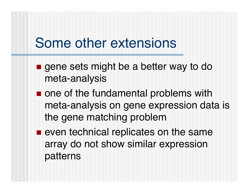### Some other extensions

- gene sets might be a better way to do meta-analysis
- one of the fundamental problems with meta-analysis on gene expression data is the gene matching problem
- **Exercise 1 Figure 1** Figure 1 Figure 1 Figure 1 Figure 1 Figure 1 Figure 1 Figure 1 Figure 1 Figure 1 Figure 1 Figure 1 Figure 1 Figure 1 Figure 1 Figure 1 Figure 1 Figure 1 Figure 1 Figure 1 Figure 1 Figure 1 Figure 1 Fi array do not show similar expression patterns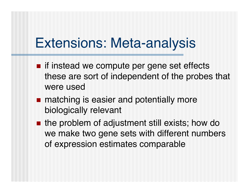### Extensions: Meta-analysis

- $\blacksquare$  if instead we compute per gene set effects these are sort of independent of the probes that were used
- **n** matching is easier and potentially more biologically relevant
- the problem of adjustment still exists; how do we make two gene sets with different numbers of expression estimates comparable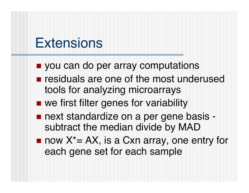#### **Extensions**

- vou can do per array computations
- **residuals are one of the most underused** tools for analyzing microarrays
- we first filter genes for variability
- next standardize on a per gene basis subtract the median divide by MAD
- now  $X^*$  = AX, is a Cxn array, one entry for each gene set for each sample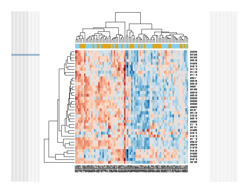

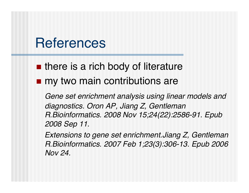#### **References**

- $\blacksquare$  there is a rich body of literature
- **no** main contributions are

*Gene set enrichment analysis using linear models and diagnostics. Oron AP, Jiang Z, Gentleman R.Bioinformatics. 2008 Nov 15;24(22):2586-91. Epub 2008 Sep 11.*

 *Extensions to gene set enrichment.Jiang Z, Gentleman R.Bioinformatics. 2007 Feb 1;23(3):306-13. Epub 2006 Nov 24.*